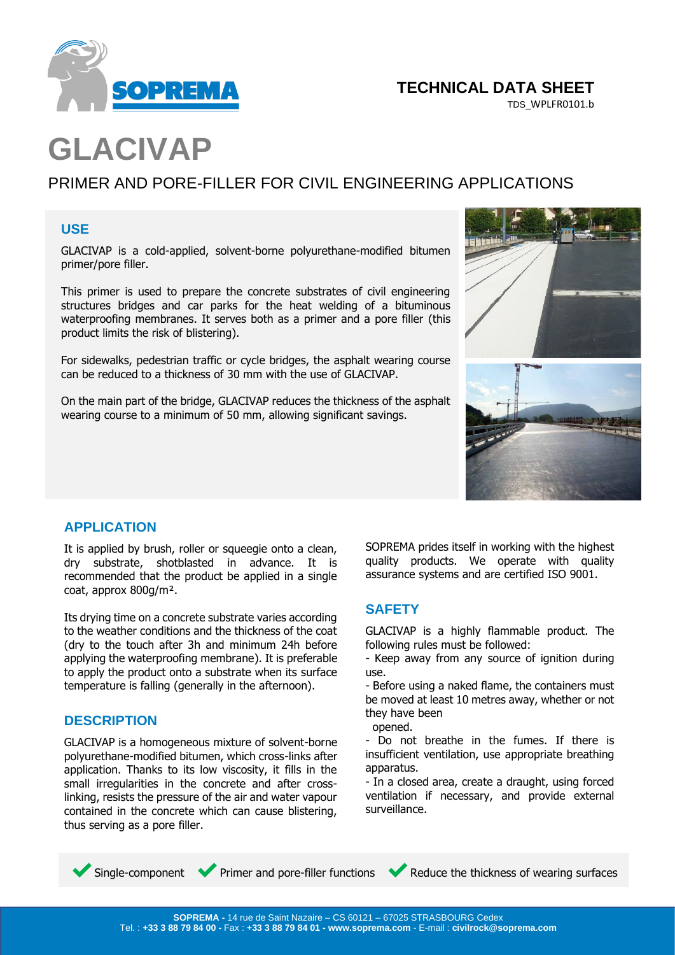

# **TECHNICAL DATA SHEET**

TDS\_WPLFR0101.b

# **GLACIVAP**

# PRIMER AND PORE-FILLER FOR CIVIL ENGINEERING APPLICATIONS

#### **USE**

GLACIVAP is a cold-applied, solvent-borne polyurethane-modified bitumen primer/pore filler.

This primer is used to prepare the concrete substrates of civil engineering structures bridges and car parks for the heat welding of a bituminous waterproofing membranes. It serves both as a primer and a pore filler (this product limits the risk of blistering).

For sidewalks, pedestrian traffic or cycle bridges, the asphalt wearing course can be reduced to a thickness of 30 mm with the use of GLACIVAP.

On the main part of the bridge, GLACIVAP reduces the thickness of the asphalt wearing course to a minimum of 50 mm, allowing significant savings.



#### **APPLICATION**

It is applied by brush, roller or squeegie onto a clean, dry substrate, shotblasted in advance. It is recommended that the product be applied in a single coat, approx 800g/m².

Its drying time on a concrete substrate varies according to the weather conditions and the thickness of the coat (dry to the touch after 3h and minimum 24h before applying the waterproofing membrane). It is preferable to apply the product onto a substrate when its surface temperature is falling (generally in the afternoon).

## **DESCRIPTION**

GLACIVAP is a homogeneous mixture of solvent-borne polyurethane-modified bitumen, which cross-links after application. Thanks to its low viscosity, it fills in the small irregularities in the concrete and after crosslinking, resists the pressure of the air and water vapour contained in the concrete which can cause blistering, thus serving as a pore filler.

SOPREMA prides itself in working with the highest quality products. We operate with quality assurance systems and are certified ISO 9001.

#### **SAFETY**

GLACIVAP is a highly flammable product. The following rules must be followed:

- Keep away from any source of ignition during use.

- Before using a naked flame, the containers must be moved at least 10 metres away, whether or not they have been

opened.

- Do not breathe in the fumes. If there is insufficient ventilation, use appropriate breathing apparatus.

- In a closed area, create a draught, using forced ventilation if necessary, and provide external surveillance.

**CHARACTERISTICS** 

◆ Single-component ◆ Primer and pore-filler functions ◆ Reduce the thickness of wearing surfaces